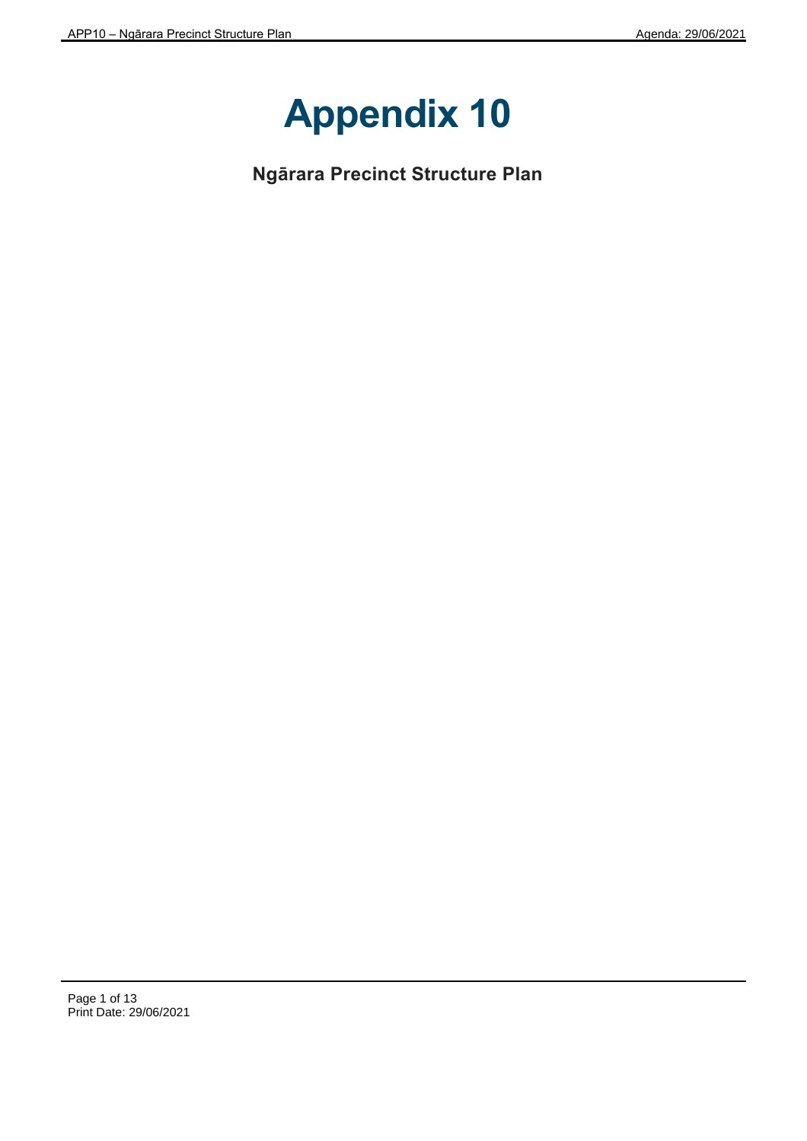

**Ngārara Precinct Structure Plan**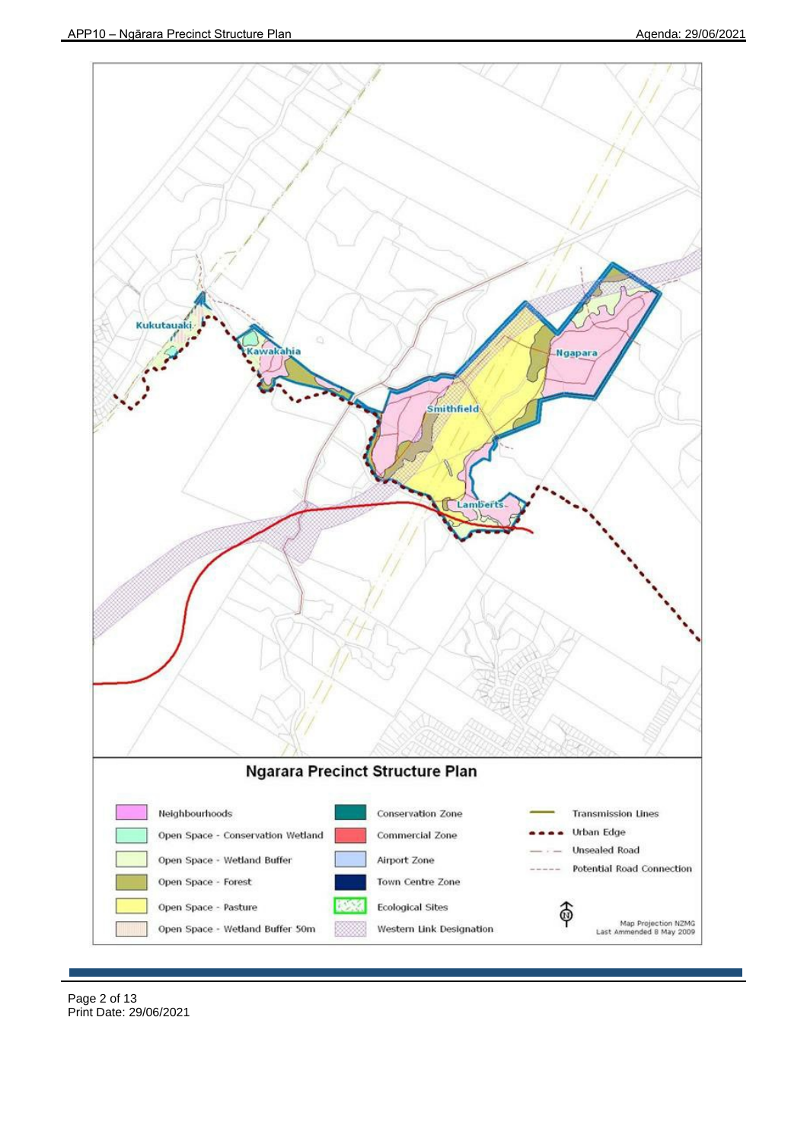

Page 2 of 13 Print Date: 29/06/2021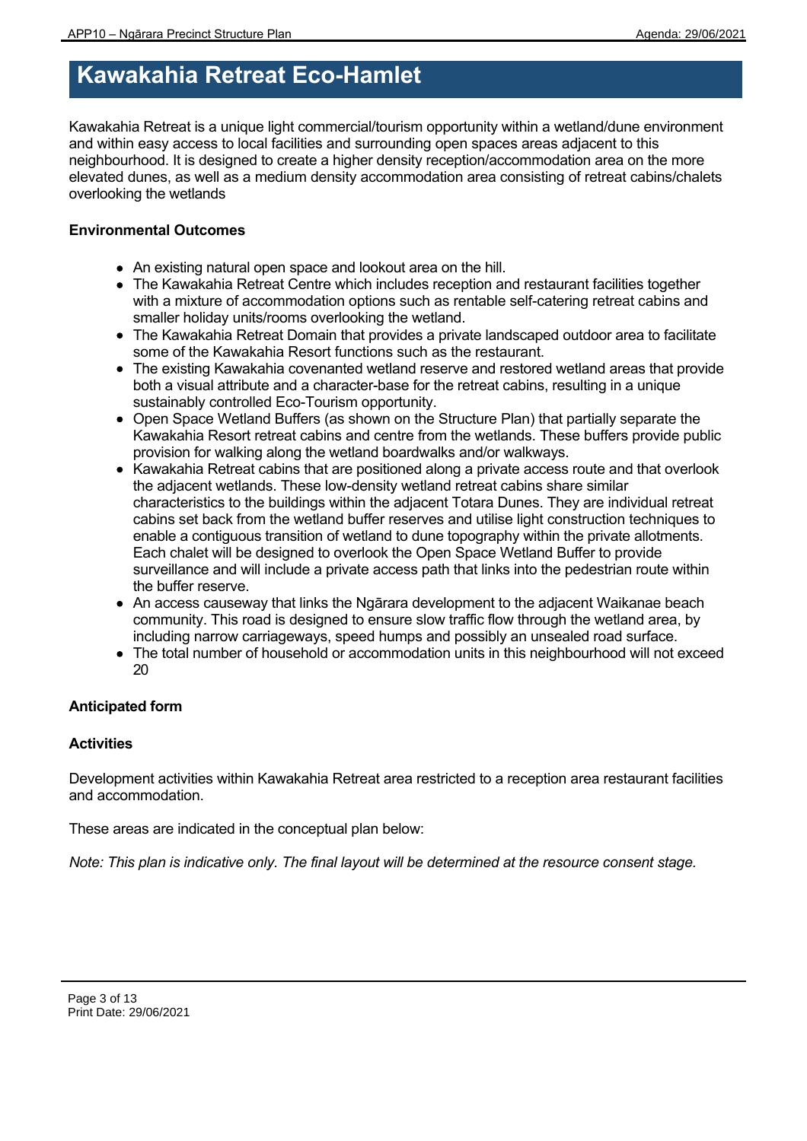# **Kawakahia Retreat Eco-Hamlet**

Kawakahia Retreat is a unique light commercial/tourism opportunity within a wetland/dune environment and within easy access to local facilities and surrounding open spaces areas adjacent to this neighbourhood. It is designed to create a higher density reception/accommodation area on the more elevated dunes, as well as a medium density accommodation area consisting of retreat cabins/chalets overlooking the wetlands

# **Environmental Outcomes**

- An existing natural open space and lookout area on the hill.
- The Kawakahia Retreat Centre which includes reception and restaurant facilities together with a mixture of accommodation options such as rentable self-catering retreat cabins and smaller holiday units/rooms overlooking the wetland.
- The Kawakahia Retreat Domain that provides a private landscaped outdoor area to facilitate some of the Kawakahia Resort functions such as the restaurant.
- The existing Kawakahia covenanted wetland reserve and restored wetland areas that provide both a visual attribute and a character-base for the retreat cabins, resulting in a unique sustainably controlled Eco-Tourism opportunity.
- Open Space Wetland Buffers (as shown on the Structure Plan) that partially separate the Kawakahia Resort retreat cabins and centre from the wetlands. These buffers provide public provision for walking along the wetland boardwalks and/or walkways.
- Kawakahia Retreat cabins that are positioned along a private access route and that overlook the adjacent wetlands. These low-density wetland retreat cabins share similar characteristics to the buildings within the adjacent Totara Dunes. They are individual retreat cabins set back from the wetland buffer reserves and utilise light construction techniques to enable a contiguous transition of wetland to dune topography within the private allotments. Each chalet will be designed to overlook the Open Space Wetland Buffer to provide surveillance and will include a private access path that links into the pedestrian route within the buffer reserve.
- An access causeway that links the Ngārara development to the adjacent Waikanae beach community. This road is designed to ensure slow traffic flow through the wetland area, by including narrow carriageways, speed humps and possibly an unsealed road surface.
- The total number of household or accommodation units in this neighbourhood will not exceed 20

# **Anticipated form**

# **Activities**

Development activities within Kawakahia Retreat area restricted to a reception area restaurant facilities and accommodation.

These areas are indicated in the conceptual plan below: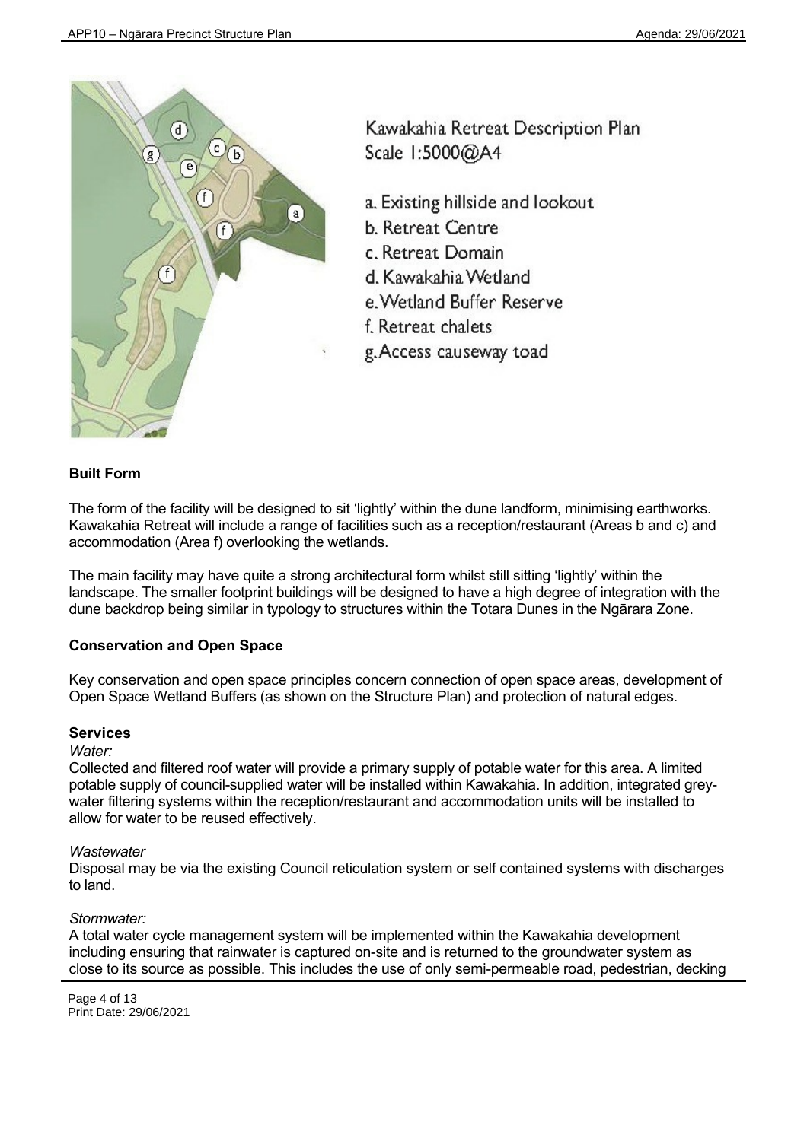

Kawakahia Retreat Description Plan Scale 1:5000@A4

- a. Existing hillside and lookout
- **b.** Retreat Centre
- c. Retreat Domain
- d. Kawakahia Wetland.
- e. Wetland Buffer Reserve
- f. Retreat chalets
- g. Access causeway toad

# **Built Form**

The form of the facility will be designed to sit 'lightly' within the dune landform, minimising earthworks. Kawakahia Retreat will include a range of facilities such as a reception/restaurant (Areas b and c) and accommodation (Area f) overlooking the wetlands.

The main facility may have quite a strong architectural form whilst still sitting 'lightly' within the landscape. The smaller footprint buildings will be designed to have a high degree of integration with the dune backdrop being similar in typology to structures within the Totara Dunes in the Ngārara Zone.

# **Conservation and Open Space**

Key conservation and open space principles concern connection of open space areas, development of Open Space Wetland Buffers (as shown on the Structure Plan) and protection of natural edges.

# **Services**

#### *Water:*

Collected and filtered roof water will provide a primary supply of potable water for this area. A limited potable supply of council-supplied water will be installed within Kawakahia. In addition, integrated greywater filtering systems within the reception/restaurant and accommodation units will be installed to allow for water to be reused effectively.

# *Wastewater*

Disposal may be via the existing Council reticulation system or self contained systems with discharges to land.

# *Stormwater:*

A total water cycle management system will be implemented within the Kawakahia development including ensuring that rainwater is captured on-site and is returned to the groundwater system as close to its source as possible. This includes the use of only semi-permeable road, pedestrian, decking

Page 4 of 13 Print Date: 29/06/2021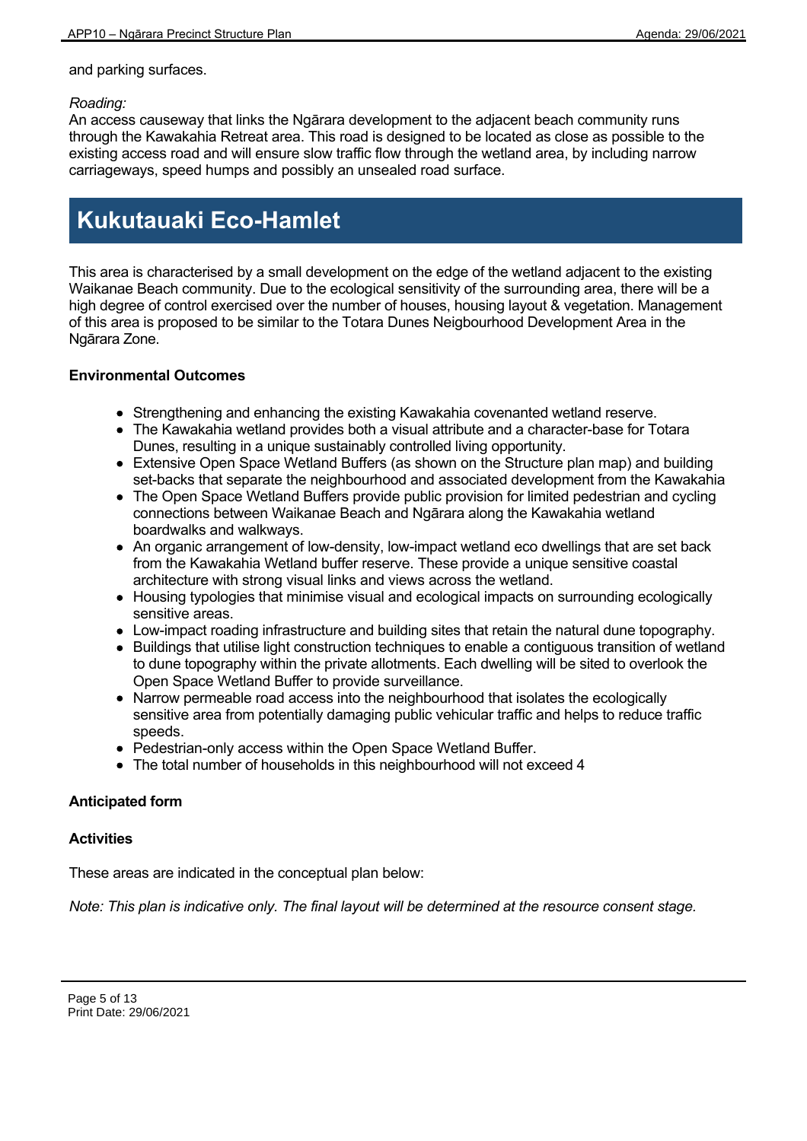and parking surfaces.

### *Roading:*

An access causeway that links the Ngārara development to the adjacent beach community runs through the Kawakahia Retreat area. This road is designed to be located as close as possible to the existing access road and will ensure slow traffic flow through the wetland area, by including narrow carriageways, speed humps and possibly an unsealed road surface.

# **Kukutauaki Eco-Hamlet**

This area is characterised by a small development on the edge of the wetland adjacent to the existing Waikanae Beach community. Due to the ecological sensitivity of the surrounding area, there will be a high degree of control exercised over the number of houses, housing layout & vegetation. Management of this area is proposed to be similar to the Totara Dunes Neigbourhood Development Area in the Ngārara Zone.

# **Environmental Outcomes**

- Strengthening and enhancing the existing Kawakahia covenanted wetland reserve.
- The Kawakahia wetland provides both a visual attribute and a character-base for Totara Dunes, resulting in a unique sustainably controlled living opportunity.
- Extensive Open Space Wetland Buffers (as shown on the Structure plan map) and building set-backs that separate the neighbourhood and associated development from the Kawakahia
- The Open Space Wetland Buffers provide public provision for limited pedestrian and cycling connections between Waikanae Beach and Ngārara along the Kawakahia wetland boardwalks and walkways.
- An organic arrangement of low-density, low-impact wetland eco dwellings that are set back from the Kawakahia Wetland buffer reserve. These provide a unique sensitive coastal architecture with strong visual links and views across the wetland.
- Housing typologies that minimise visual and ecological impacts on surrounding ecologically sensitive areas.
- Low-impact roading infrastructure and building sites that retain the natural dune topography.
- Buildings that utilise light construction techniques to enable a contiguous transition of wetland to dune topography within the private allotments. Each dwelling will be sited to overlook the Open Space Wetland Buffer to provide surveillance.
- Narrow permeable road access into the neighbourhood that isolates the ecologically sensitive area from potentially damaging public vehicular traffic and helps to reduce traffic speeds.
- Pedestrian-only access within the Open Space Wetland Buffer.
- The total number of households in this neighbourhood will not exceed 4

# **Anticipated form**

# **Activities**

These areas are indicated in the conceptual plan below: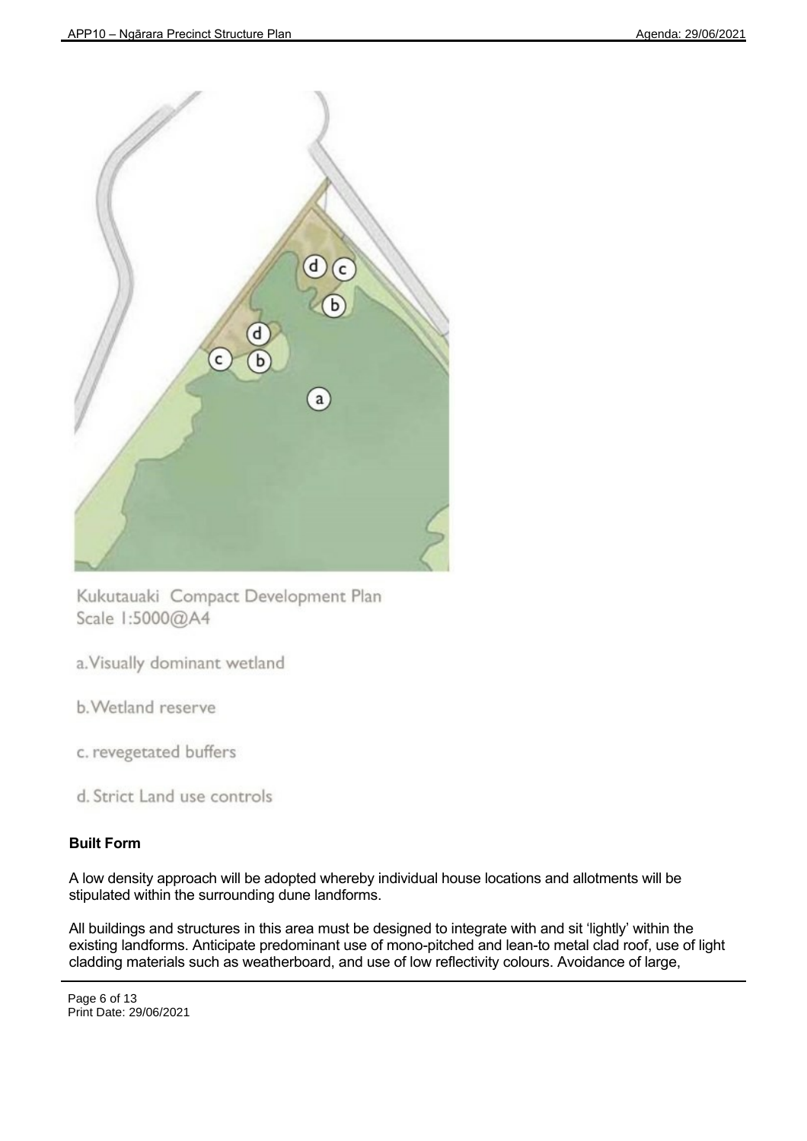

Kukutauaki Compact Development Plan Scale 1:5000@A4

a. Visually dominant wetland

b. Wetland reserve

c. revegetated buffers

d. Strict Land use controls

# **Built Form**

A low density approach will be adopted whereby individual house locations and allotments will be stipulated within the surrounding dune landforms.

All buildings and structures in this area must be designed to integrate with and sit 'lightly' within the existing landforms. Anticipate predominant use of mono-pitched and lean-to metal clad roof, use of light cladding materials such as weatherboard, and use of low reflectivity colours. Avoidance of large,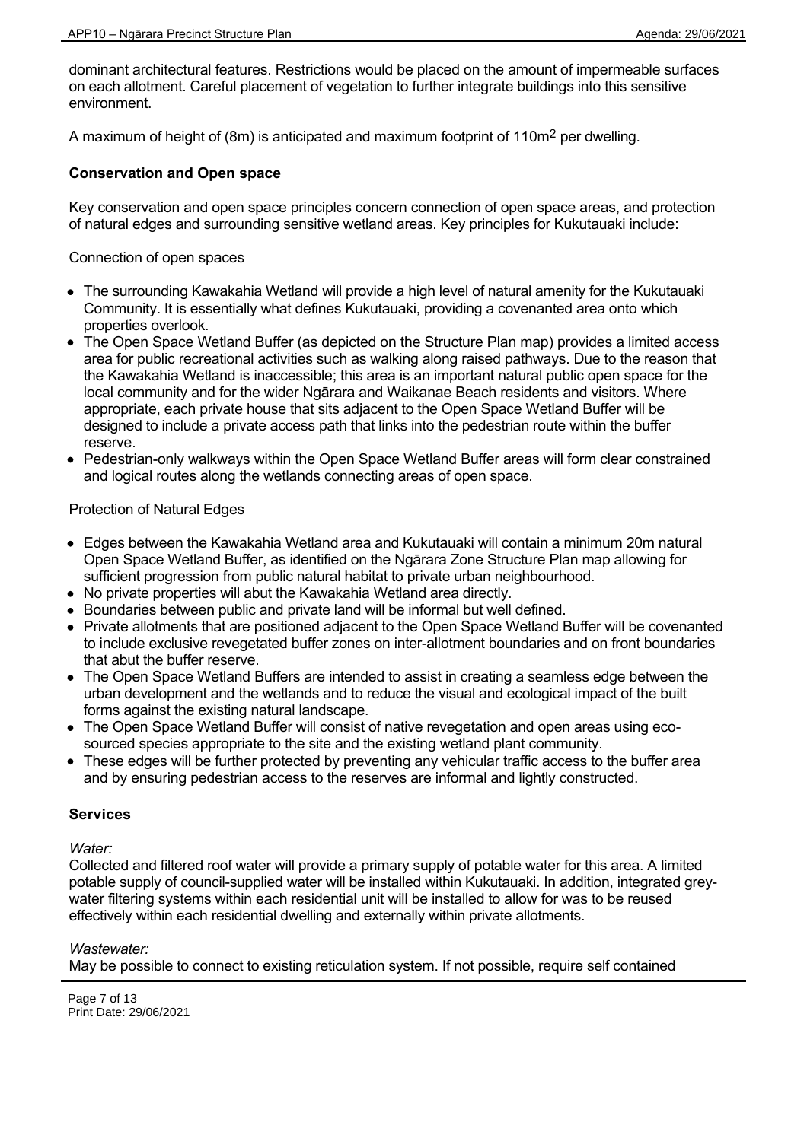dominant architectural features. Restrictions would be placed on the amount of impermeable surfaces on each allotment. Careful placement of vegetation to further integrate buildings into this sensitive environment.

A maximum of height of (8m) is anticipated and maximum footprint of 110m<sup>2</sup> per dwelling.

#### **Conservation and Open space**

Key conservation and open space principles concern connection of open space areas, and protection of natural edges and surrounding sensitive wetland areas. Key principles for Kukutauaki include:

Connection of open spaces

- The surrounding Kawakahia Wetland will provide a high level of natural amenity for the Kukutauaki Community. It is essentially what defines Kukutauaki, providing a covenanted area onto which properties overlook.
- The Open Space Wetland Buffer (as depicted on the Structure Plan map) provides a limited access area for public recreational activities such as walking along raised pathways. Due to the reason that the Kawakahia Wetland is inaccessible; this area is an important natural public open space for the local community and for the wider Ngārara and Waikanae Beach residents and visitors. Where appropriate, each private house that sits adjacent to the Open Space Wetland Buffer will be designed to include a private access path that links into the pedestrian route within the buffer reserve.
- Pedestrian-only walkways within the Open Space Wetland Buffer areas will form clear constrained and logical routes along the wetlands connecting areas of open space.

#### Protection of Natural Edges

- Edges between the Kawakahia Wetland area and Kukutauaki will contain a minimum 20m natural Open Space Wetland Buffer, as identified on the Ngārara Zone Structure Plan map allowing for sufficient progression from public natural habitat to private urban neighbourhood.
- No private properties will abut the Kawakahia Wetland area directly.
- Boundaries between public and private land will be informal but well defined.
- Private allotments that are positioned adjacent to the Open Space Wetland Buffer will be covenanted to include exclusive revegetated buffer zones on inter-allotment boundaries and on front boundaries that abut the buffer reserve.
- The Open Space Wetland Buffers are intended to assist in creating a seamless edge between the urban development and the wetlands and to reduce the visual and ecological impact of the built forms against the existing natural landscape.
- The Open Space Wetland Buffer will consist of native revegetation and open areas using ecosourced species appropriate to the site and the existing wetland plant community.
- These edges will be further protected by preventing any vehicular traffic access to the buffer area and by ensuring pedestrian access to the reserves are informal and lightly constructed.

#### **Services**

*Water:*

Collected and filtered roof water will provide a primary supply of potable water for this area. A limited potable supply of council-supplied water will be installed within Kukutauaki. In addition, integrated greywater filtering systems within each residential unit will be installed to allow for was to be reused effectively within each residential dwelling and externally within private allotments.

#### *Wastewater:*

May be possible to connect to existing reticulation system. If not possible, require self contained

Page 7 of 13 Print Date: 29/06/2021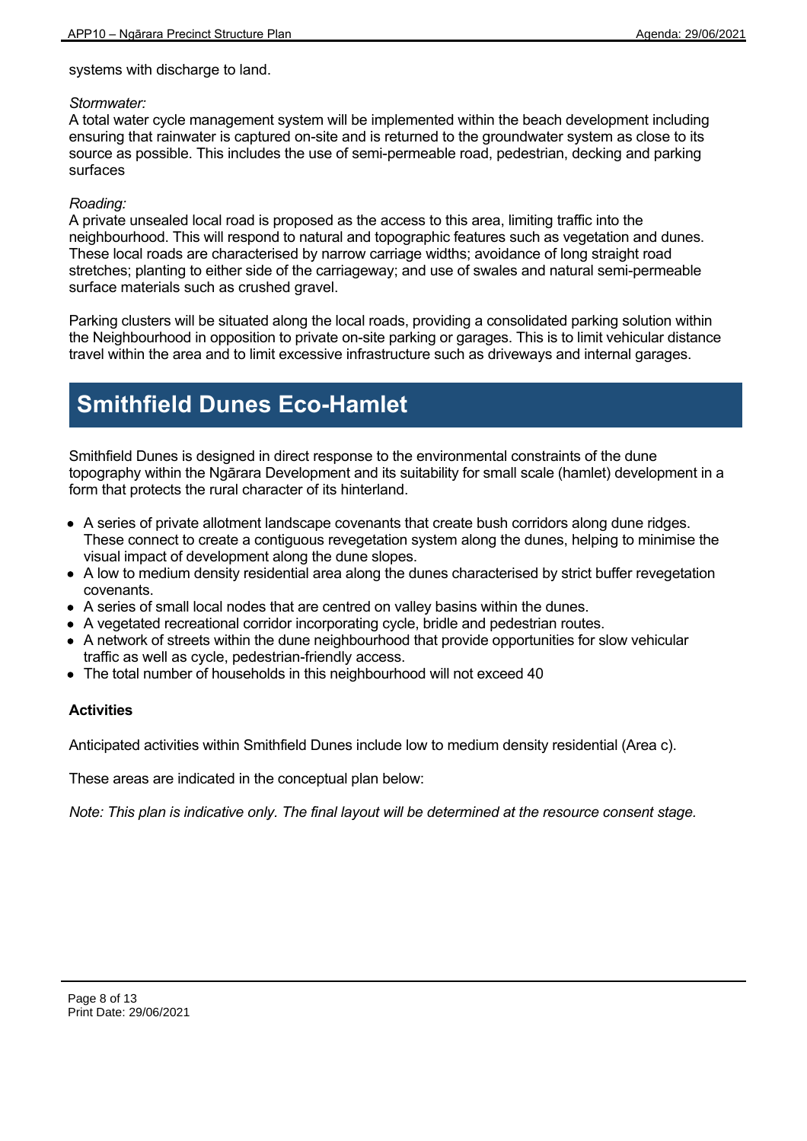systems with discharge to land.

### *Stormwater:*

A total water cycle management system will be implemented within the beach development including ensuring that rainwater is captured on-site and is returned to the groundwater system as close to its source as possible. This includes the use of semi-permeable road, pedestrian, decking and parking surfaces

# *Roading:*

A private unsealed local road is proposed as the access to this area, limiting traffic into the neighbourhood. This will respond to natural and topographic features such as vegetation and dunes. These local roads are characterised by narrow carriage widths; avoidance of long straight road stretches; planting to either side of the carriageway; and use of swales and natural semi-permeable surface materials such as crushed gravel.

Parking clusters will be situated along the local roads, providing a consolidated parking solution within the Neighbourhood in opposition to private on-site parking or garages. This is to limit vehicular distance travel within the area and to limit excessive infrastructure such as driveways and internal garages.

# **Smithfield Dunes Eco-Hamlet**

Smithfield Dunes is designed in direct response to the environmental constraints of the dune topography within the Ngārara Development and its suitability for small scale (hamlet) development in a form that protects the rural character of its hinterland.

- A series of private allotment landscape covenants that create bush corridors along dune ridges. These connect to create a contiguous revegetation system along the dunes, helping to minimise the visual impact of development along the dune slopes.
- A low to medium density residential area along the dunes characterised by strict buffer revegetation covenants.
- A series of small local nodes that are centred on valley basins within the dunes.
- A vegetated recreational corridor incorporating cycle, bridle and pedestrian routes.
- A network of streets within the dune neighbourhood that provide opportunities for slow vehicular traffic as well as cycle, pedestrian-friendly access.
- The total number of households in this neighbourhood will not exceed 40

# **Activities**

Anticipated activities within Smithfield Dunes include low to medium density residential (Area c).

These areas are indicated in the conceptual plan below: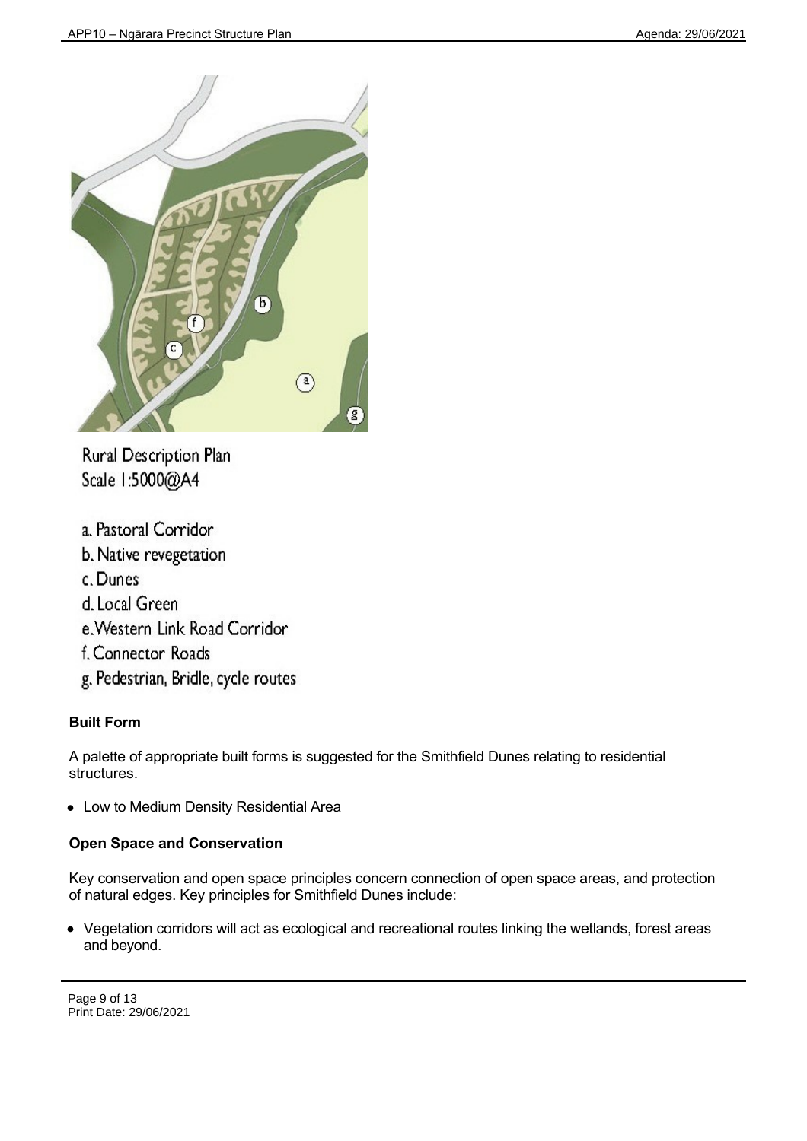

Rural Description Plan Scale 1:5000@A4

- a. Pastoral Corridor
- b. Native revegetation
- c. Dunes
- d. Local Green
- e. Western Link Road Corridor
- f. Connector Roads
- g. Pedestrian, Bridle, cycle routes

# **Built Form**

A palette of appropriate built forms is suggested for the Smithfield Dunes relating to residential structures.

Low to Medium Density Residential Area

# **Open Space and Conservation**

Key conservation and open space principles concern connection of open space areas, and protection of natural edges. Key principles for Smithfield Dunes include:

Vegetation corridors will act as ecological and recreational routes linking the wetlands, forest areas and beyond.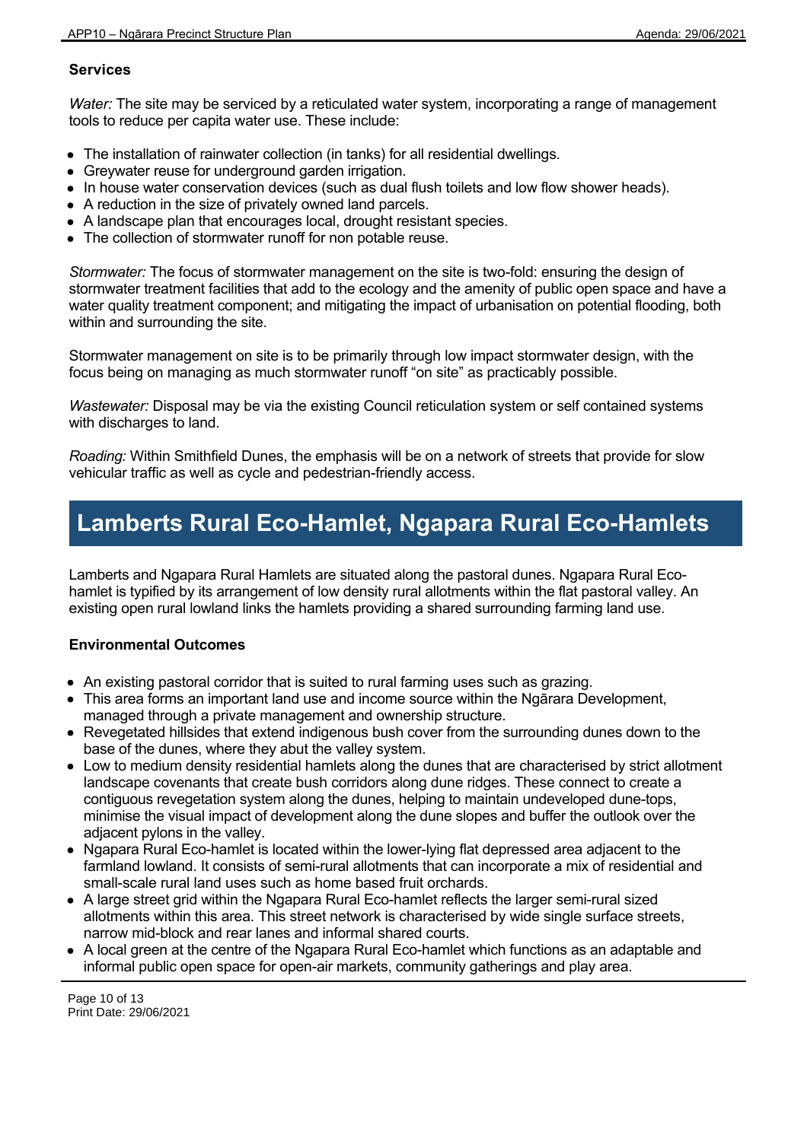# **Services**

*Water:* The site may be serviced by a reticulated water system, incorporating a range of management tools to reduce per capita water use. These include:

- The installation of rainwater collection (in tanks) for all residential dwellings.
- Greywater reuse for underground garden irrigation.
- In house water conservation devices (such as dual flush toilets and low flow shower heads).
- A reduction in the size of privately owned land parcels.
- A landscape plan that encourages local, drought resistant species.
- The collection of stormwater runoff for non potable reuse.

*Stormwater:* The focus of stormwater management on the site is two-fold: ensuring the design of stormwater treatment facilities that add to the ecology and the amenity of public open space and have a water quality treatment component; and mitigating the impact of urbanisation on potential flooding, both within and surrounding the site.

Stormwater management on site is to be primarily through low impact stormwater design, with the focus being on managing as much stormwater runoff "on site" as practicably possible.

*Wastewater:* Disposal may be via the existing Council reticulation system or self contained systems with discharges to land.

*Roading:* Within Smithfield Dunes, the emphasis will be on a network of streets that provide for slow vehicular traffic as well as cycle and pedestrian-friendly access.

# **Lamberts Rural Eco-Hamlet, Ngapara Rural Eco-Hamlets**

Lamberts and Ngapara Rural Hamlets are situated along the pastoral dunes. Ngapara Rural Ecohamlet is typified by its arrangement of low density rural allotments within the flat pastoral valley. An existing open rural lowland links the hamlets providing a shared surrounding farming land use.

# **Environmental Outcomes**

- An existing pastoral corridor that is suited to rural farming uses such as grazing.
- This area forms an important land use and income source within the Ngārara Development, managed through a private management and ownership structure.
- Revegetated hillsides that extend indigenous bush cover from the surrounding dunes down to the base of the dunes, where they abut the valley system.
- Low to medium density residential hamlets along the dunes that are characterised by strict allotment landscape covenants that create bush corridors along dune ridges. These connect to create a contiguous revegetation system along the dunes, helping to maintain undeveloped dune-tops, minimise the visual impact of development along the dune slopes and buffer the outlook over the adjacent pylons in the valley.
- Ngapara Rural Eco-hamlet is located within the lower-lying flat depressed area adjacent to the farmland lowland. It consists of semi-rural allotments that can incorporate a mix of residential and small-scale rural land uses such as home based fruit orchards.
- A large street grid within the Ngapara Rural Eco-hamlet reflects the larger semi-rural sized allotments within this area. This street network is characterised by wide single surface streets, narrow mid-block and rear lanes and informal shared courts.
- A local green at the centre of the Ngapara Rural Eco-hamlet which functions as an adaptable and informal public open space for open-air markets, community gatherings and play area.

Page 10 of 13 Print Date: 29/06/2021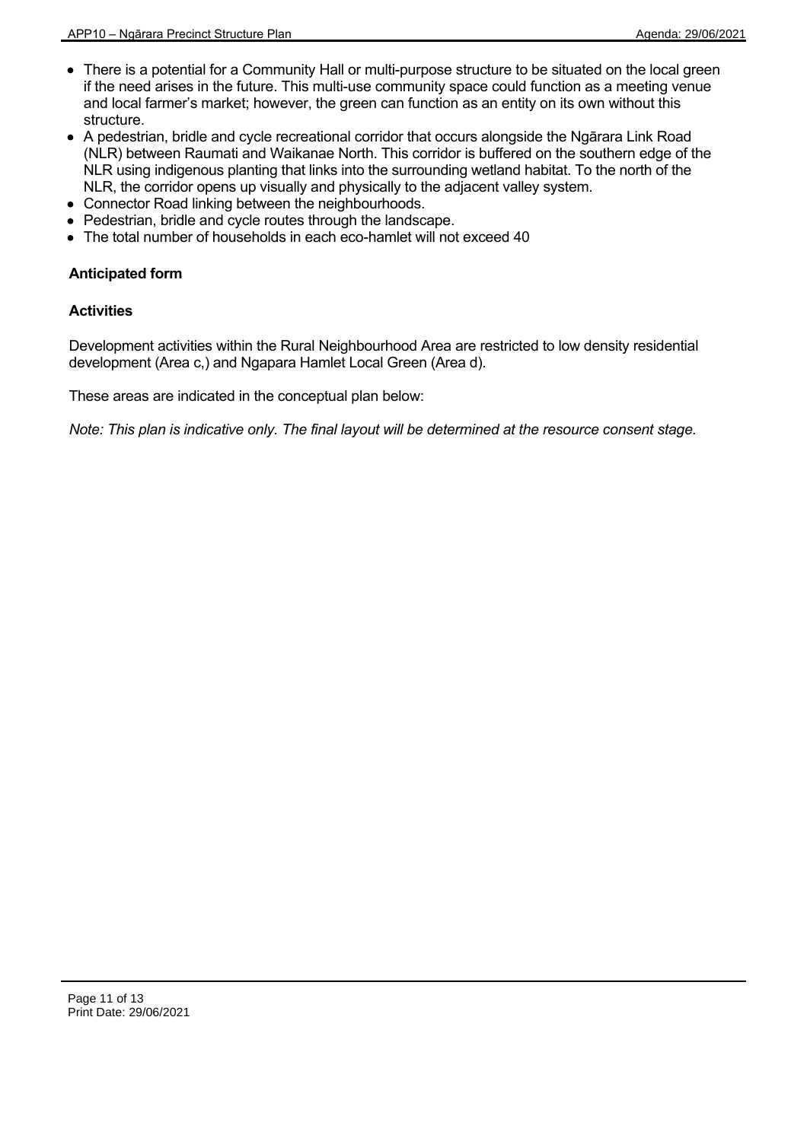- There is a potential for a Community Hall or multi-purpose structure to be situated on the local green if the need arises in the future. This multi-use community space could function as a meeting venue and local farmer's market; however, the green can function as an entity on its own without this structure.
- A pedestrian, bridle and cycle recreational corridor that occurs alongside the Ngārara Link Road (NLR) between Raumati and Waikanae North. This corridor is buffered on the southern edge of the NLR using indigenous planting that links into the surrounding wetland habitat. To the north of the NLR, the corridor opens up visually and physically to the adjacent valley system.
- Connector Road linking between the neighbourhoods.
- Pedestrian, bridle and cycle routes through the landscape.
- The total number of households in each eco-hamlet will not exceed 40

### **Anticipated form**

#### **Activities**

Development activities within the Rural Neighbourhood Area are restricted to low density residential development (Area c,) and Ngapara Hamlet Local Green (Area d).

These areas are indicated in the conceptual plan below: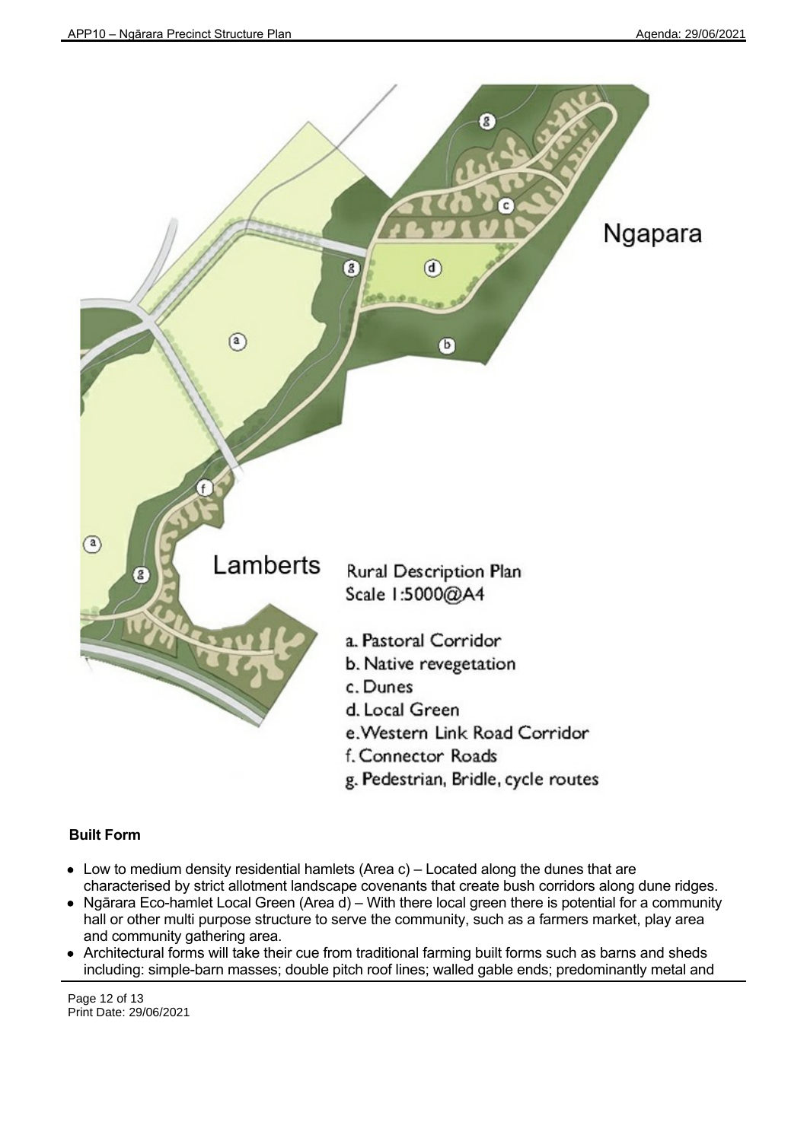

# **Built Form**

- $\bullet$  Low to medium density residential hamlets (Area c) Located along the dunes that are characterised by strict allotment landscape covenants that create bush corridors along dune ridges.
- Ngārara Eco-hamlet Local Green (Area d) With there local green there is potential for a community hall or other multi purpose structure to serve the community, such as a farmers market, play area and community gathering area.
- Architectural forms will take their cue from traditional farming built forms such as barns and sheds including: simple-barn masses; double pitch roof lines; walled gable ends; predominantly metal and

Page 12 of 13 Print Date: 29/06/2021